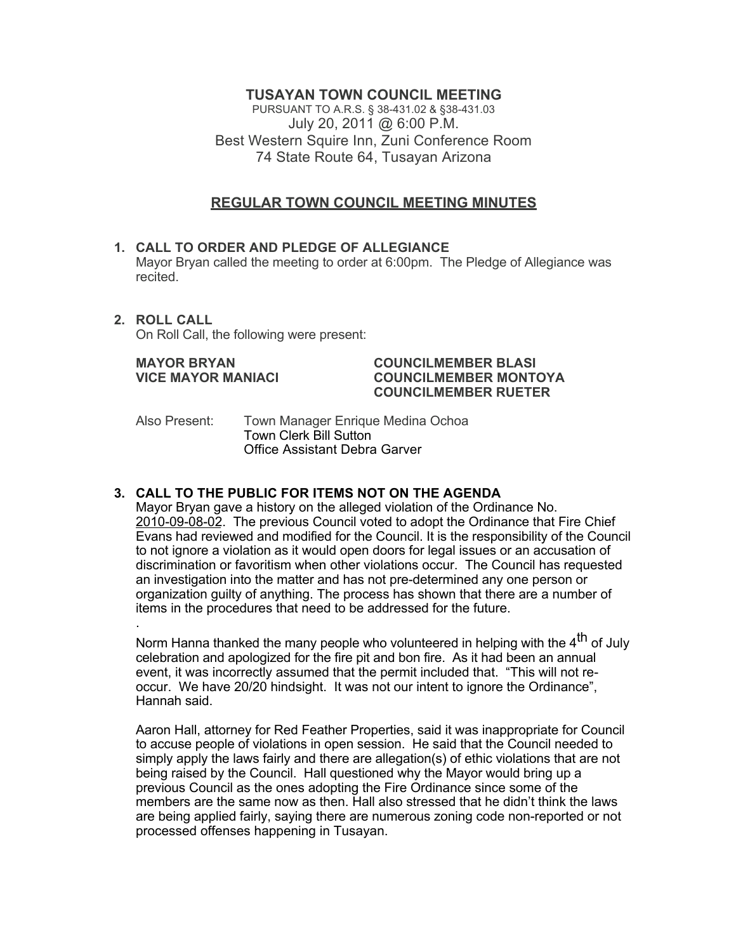# **TUSAYAN TOWN COUNCIL MEETING**

PURSUANT TO A.R.S. § 38-431.02 & §38-431.03 July 20, 2011 @ 6:00 P.M. Best Western Squire Inn, Zuni Conference Room 74 State Route 64, Tusayan Arizona

# **REGULAR TOWN COUNCIL MEETING MINUTES**

- **1. CALL TO ORDER AND PLEDGE OF ALLEGIANCE** Mayor Bryan called the meeting to order at 6:00pm. The Pledge of Allegiance was recited.
- **2. ROLL CALL** On Roll Call, the following were present:

#### **MAYOR BRYAN COUNCILMEMBER BLASI VICE MAYOR MANIACI COUNCILMEMBER MONTOYA COUNCILMEMBER RUETER**

Also Present: Town Manager Enrique Medina Ochoa Town Clerk Bill Sutton Office Assistant Debra Garver

# **3. CALL TO THE PUBLIC FOR ITEMS NOT ON THE AGENDA**

Mayor Bryan gave a history on the alleged violation of the Ordinance No. 2010-09-08-02. The previous Council voted to adopt the Ordinance that Fire Chief Evans had reviewed and modified for the Council. It is the responsibility of the Council to not ignore a violation as it would open doors for legal issues or an accusation of discrimination or favoritism when other violations occur. The Council has requested an investigation into the matter and has not pre-determined any one person or organization guilty of anything. The process has shown that there are a number of items in the procedures that need to be addressed for the future. .

Norm Hanna thanked the many people who volunteered in helping with the  $4<sup>th</sup>$  of July celebration and apologized for the fire pit and bon fire. As it had been an annual event, it was incorrectly assumed that the permit included that. "This will not reoccur. We have 20/20 hindsight. It was not our intent to ignore the Ordinance", Hannah said.

Aaron Hall, attorney for Red Feather Properties, said it was inappropriate for Council to accuse people of violations in open session. He said that the Council needed to simply apply the laws fairly and there are allegation(s) of ethic violations that are not being raised by the Council. Hall questioned why the Mayor would bring up a previous Council as the ones adopting the Fire Ordinance since some of the members are the same now as then. Hall also stressed that he didn't think the laws are being applied fairly, saying there are numerous zoning code non-reported or not processed offenses happening in Tusayan.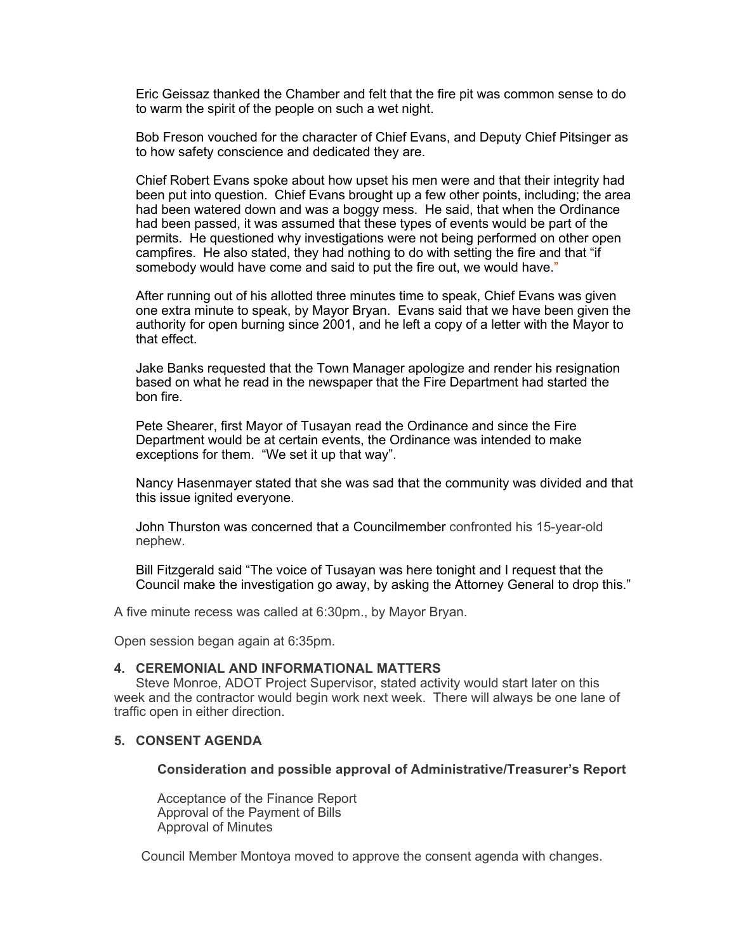Eric Geissaz thanked the Chamber and felt that the fire pit was common sense to do to warm the spirit of the people on such a wet night.

Bob Freson vouched for the character of Chief Evans, and Deputy Chief Pitsinger as to how safety conscience and dedicated they are.

Chief Robert Evans spoke about how upset his men were and that their integrity had been put into question. Chief Evans brought up a few other points, including; the area had been watered down and was a boggy mess. He said, that when the Ordinance had been passed, it was assumed that these types of events would be part of the permits. He questioned why investigations were not being performed on other open campfires. He also stated, they had nothing to do with setting the fire and that "if somebody would have come and said to put the fire out, we would have."

After running out of his allotted three minutes time to speak, Chief Evans was given one extra minute to speak, by Mayor Bryan. Evans said that we have been given the authority for open burning since 2001, and he left a copy of a letter with the Mayor to that effect.

Jake Banks requested that the Town Manager apologize and render his resignation based on what he read in the newspaper that the Fire Department had started the bon fire.

Pete Shearer, first Mayor of Tusayan read the Ordinance and since the Fire Department would be at certain events, the Ordinance was intended to make exceptions for them. "We set it up that way".

Nancy Hasenmayer stated that she was sad that the community was divided and that this issue ignited everyone.

John Thurston was concerned that a Councilmember confronted his 15-year-old nephew.

Bill Fitzgerald said "The voice of Tusayan was here tonight and I request that the Council make the investigation go away, by asking the Attorney General to drop this."

A five minute recess was called at 6:30pm., by Mayor Bryan.

Open session began again at 6:35pm.

## **4. CEREMONIAL AND INFORMATIONAL MATTERS**

Steve Monroe, ADOT Project Supervisor, stated activity would start later on this week and the contractor would begin work next week. There will always be one lane of traffic open in either direction.

# **5. CONSENT AGENDA**

#### **Consideration and possible approval of Administrative/Treasurer's Report**

Acceptance of the Finance Report Approval of the Payment of Bills Approval of Minutes

Council Member Montoya moved to approve the consent agenda with changes.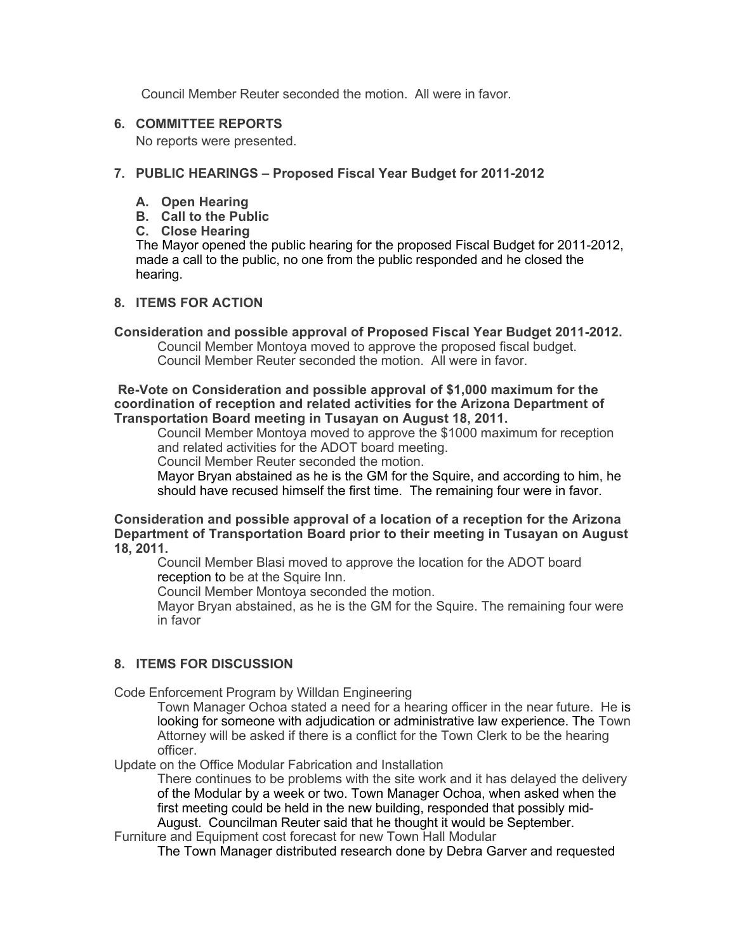Council Member Reuter seconded the motion. All were in favor.

## **6. COMMITTEE REPORTS**

No reports were presented.

## **7. PUBLIC HEARINGS – Proposed Fiscal Year Budget for 2011-2012**

- **A. Open Hearing**
- **B. Call to the Public**
- **C. Close Hearing**

The Mayor opened the public hearing for the proposed Fiscal Budget for 2011-2012, made a call to the public, no one from the public responded and he closed the hearing.

# **8. ITEMS FOR ACTION**

# **Consideration and possible approval of Proposed Fiscal Year Budget 2011-2012.**

Council Member Montoya moved to approve the proposed fiscal budget. Council Member Reuter seconded the motion. All were in favor.

#### **Re-Vote on Consideration and possible approval of \$1,000 maximum for the coordination of reception and related activities for the Arizona Department of Transportation Board meeting in Tusayan on August 18, 2011.**

Council Member Montoya moved to approve the \$1000 maximum for reception and related activities for the ADOT board meeting.

Council Member Reuter seconded the motion.

Mayor Bryan abstained as he is the GM for the Squire, and according to him, he should have recused himself the first time. The remaining four were in favor.

#### **Consideration and possible approval of a location of a reception for the Arizona Department of Transportation Board prior to their meeting in Tusayan on August 18, 2011.**

Council Member Blasi moved to approve the location for the ADOT board reception to be at the Squire Inn.

Council Member Montoya seconded the motion.

Mayor Bryan abstained, as he is the GM for the Squire. The remaining four were in favor

# **8. ITEMS FOR DISCUSSION**

Code Enforcement Program by Willdan Engineering

Town Manager Ochoa stated a need for a hearing officer in the near future. He is looking for someone with adjudication or administrative law experience. The Town Attorney will be asked if there is a conflict for the Town Clerk to be the hearing officer.

Update on the Office Modular Fabrication and Installation

There continues to be problems with the site work and it has delayed the delivery of the Modular by a week or two. Town Manager Ochoa, when asked when the first meeting could be held in the new building, responded that possibly mid-August. Councilman Reuter said that he thought it would be September.

Furniture and Equipment cost forecast for new Town Hall Modular

The Town Manager distributed research done by Debra Garver and requested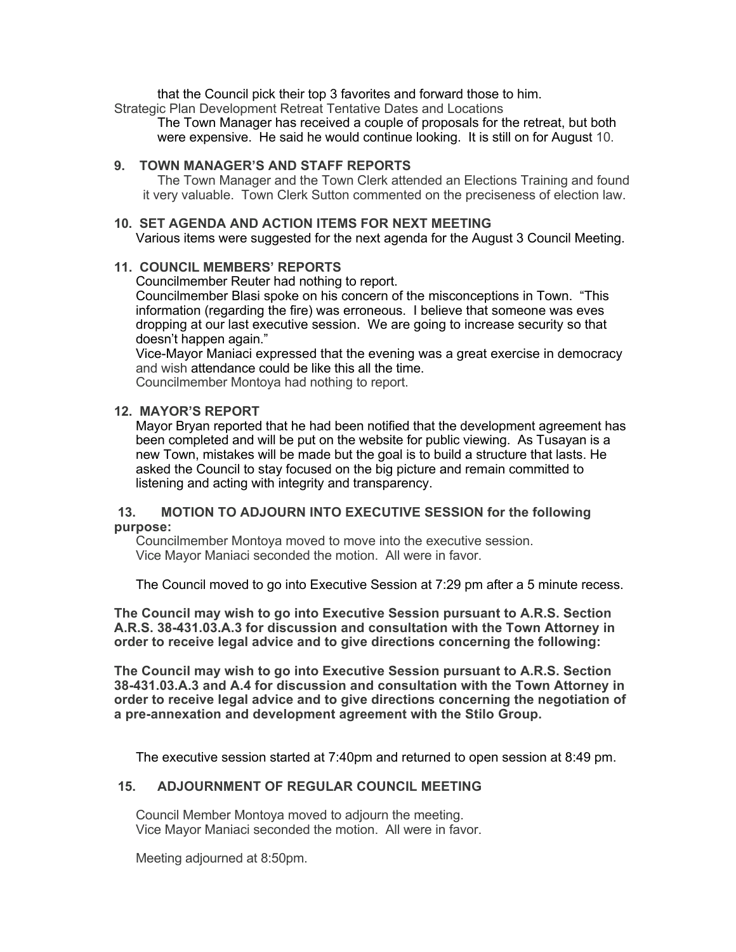that the Council pick their top 3 favorites and forward those to him.

Strategic Plan Development Retreat Tentative Dates and Locations

The Town Manager has received a couple of proposals for the retreat, but both were expensive. He said he would continue looking. It is still on for August 10.

## **9. TOWN MANAGER'S AND STAFF REPORTS**

The Town Manager and the Town Clerk attended an Elections Training and found it very valuable. Town Clerk Sutton commented on the preciseness of election law.

### **10. SET AGENDA AND ACTION ITEMS FOR NEXT MEETING**

Various items were suggested for the next agenda for the August 3 Council Meeting.

# **11. COUNCIL MEMBERS' REPORTS**

Councilmember Reuter had nothing to report.

Councilmember Blasi spoke on his concern of the misconceptions in Town. "This information (regarding the fire) was erroneous. I believe that someone was eves dropping at our last executive session. We are going to increase security so that doesn't happen again."

Vice-Mayor Maniaci expressed that the evening was a great exercise in democracy and wish attendance could be like this all the time.

Councilmember Montoya had nothing to report.

# **12. MAYOR'S REPORT**

Mayor Bryan reported that he had been notified that the development agreement has been completed and will be put on the website for public viewing. As Tusayan is a new Town, mistakes will be made but the goal is to build a structure that lasts. He asked the Council to stay focused on the big picture and remain committed to listening and acting with integrity and transparency.

### **13. MOTION TO ADJOURN INTO EXECUTIVE SESSION for the following purpose:**

Councilmember Montoya moved to move into the executive session. Vice Mayor Maniaci seconded the motion. All were in favor.

The Council moved to go into Executive Session at 7:29 pm after a 5 minute recess.

**The Council may wish to go into Executive Session pursuant to A.R.S. Section A.R.S. 38-431.03.A.3 for discussion and consultation with the Town Attorney in order to receive legal advice and to give directions concerning the following:**

**The Council may wish to go into Executive Session pursuant to A.R.S. Section 38-431.03.A.3 and A.4 for discussion and consultation with the Town Attorney in order to receive legal advice and to give directions concerning the negotiation of a pre-annexation and development agreement with the Stilo Group.**

The executive session started at 7:40pm and returned to open session at 8:49 pm.

# **15. ADJOURNMENT OF REGULAR COUNCIL MEETING**

Council Member Montoya moved to adjourn the meeting. Vice Mayor Maniaci seconded the motion. All were in favor.

Meeting adjourned at 8:50pm.